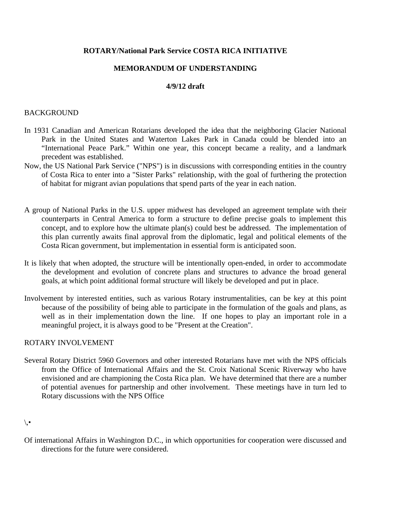# **ROTARY/National Park Service COSTA RICA INITIATIVE**

# **MEMORANDUM OF UNDERSTANDING**

### **4/9/12 draft**

### BACKGROUND

- In 1931 Canadian and American Rotarians developed the idea that the neighboring Glacier National Park in the United States and Waterton Lakes Park in Canada could be blended into an "International Peace Park." Within one year, this concept became a reality, and a landmark precedent was established.
- Now, the US National Park Service ("NPS") is in discussions with corresponding entities in the country of Costa Rica to enter into a "Sister Parks" relationship, with the goal of furthering the protection of habitat for migrant avian populations that spend parts of the year in each nation.
- A group of National Parks in the U.S. upper midwest has developed an agreement template with their counterparts in Central America to form a structure to define precise goals to implement this concept, and to explore how the ultimate plan(s) could best be addressed. The implementation of this plan currently awaits final approval from the diplomatic, legal and political elements of the Costa Rican government, but implementation in essential form is anticipated soon.
- It is likely that when adopted, the structure will be intentionally open-ended, in order to accommodate the development and evolution of concrete plans and structures to advance the broad general goals, at which point additional formal structure will likely be developed and put in place.
- Involvement by interested entities, such as various Rotary instrumentalities, can be key at this point because of the possibility of being able to participate in the formulation of the goals and plans, as well as in their implementation down the line. If one hopes to play an important role in a meaningful project, it is always good to be "Present at the Creation".

### ROTARY INVOLVEMENT

Several Rotary District 5960 Governors and other interested Rotarians have met with the NPS officials from the Office of International Affairs and the St. Croix National Scenic Riverway who have envisioned and are championing the Costa Rica plan. We have determined that there are a number of potential avenues for partnership and other involvement. These meetings have in turn led to Rotary discussions with the NPS Office

 $\setminus \bullet$ 

Of international Affairs in Washington D.C., in which opportunities for cooperation were discussed and directions for the future were considered.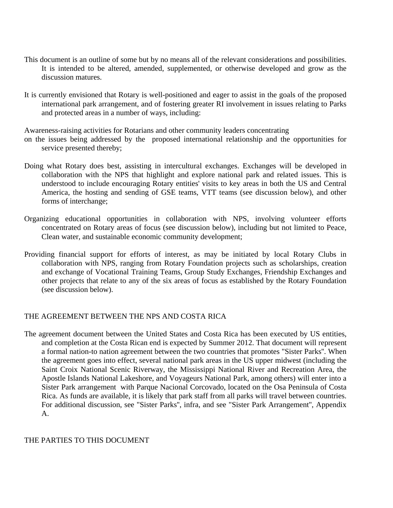- This document is an outline of some but by no means all of the relevant considerations and possibilities. It is intended to be altered, amended, supplemented, or otherwise developed and grow as the discussion matures.
- It is currently envisioned that Rotary is well-positioned and eager to assist in the goals of the proposed international park arrangement, and of fostering greater RI involvement in issues relating to Parks and protected areas in a number of ways, including:

Awareness-raising activities for Rotarians and other community leaders concentrating

- on the issues being addressed by the proposed international relationship and the opportunities for service presented thereby;
- Doing what Rotary does best, assisting in intercultural exchanges. Exchanges will be developed in collaboration with the NPS that highlight and explore national park and related issues. This is understood to include encouraging Rotary entities' visits to key areas in both the US and Central America, the hosting and sending of GSE teams, VTT teams (see discussion below), and other forms of interchange;
- Organizing educational opportunities in collaboration with NPS, involving volunteer efforts concentrated on Rotary areas of focus (see discussion below), including but not limited to Peace, Clean water, and sustainable economic community development;
- Providing financial support for efforts of interest, as may be initiated by local Rotary Clubs in collaboration with NPS, ranging from Rotary Foundation projects such as scholarships, creation and exchange of Vocational Training Teams, Group Study Exchanges, Friendship Exchanges and other projects that relate to any of the six areas of focus as established by the Rotary Foundation (see discussion below).

### THE AGREEMENT BETWEEN THE NPS AND COSTA RICA

The agreement document between the United States and Costa Rica has been executed by US entities, and completion at the Costa Rican end is expected by Summer 2012. That document will represent a formal nation-to nation agreement between the two countries that promotes "Sister Parks''. When the agreement goes into effect, several national park areas in the US upper midwest (including the Saint Croix National Scenic Riverway, the Mississippi National River and Recreation Area, the Apostle Islands National Lakeshore, and Voyageurs National Park, among others) will enter into a Sister Park arrangement with Parque Nacional Corcovado, located on the Osa Peninsula of Costa Rica. As funds are available, it is likely that park staff from all parks will travel between countries. For additional discussion, see "Sister Parks'', infra, and see "Sister Park Arrangement'', Appendix A.

### THE PARTIES TO THIS DOCUMENT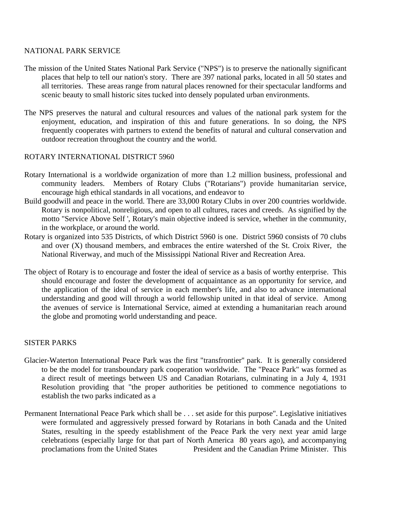# NATIONAL PARK SERVICE

- The mission of the United States National Park Service ("NPS") is to preserve the nationally significant places that help to tell our nation's story. There are 397 national parks, located in all 50 states and all territories. These areas range from natural places renowned for their spectacular landforms and scenic beauty to small historic sites tucked into densely populated urban environments.
- The NPS preserves the natural and cultural resources and values of the national park system for the enjoyment, education, and inspiration of this and future generations. In so doing, the NPS frequently cooperates with partners to extend the benefits of natural and cultural conservation and outdoor recreation throughout the country and the world.

# ROTARY INTERNATIONAL DISTRICT 5960

- Rotary International is a worldwide organization of more than 1.2 million business, professional and community leaders. Members of Rotary Clubs ("Rotarians") provide humanitarian service, encourage high ethical standards in all vocations, and endeavor to
- Build goodwill and peace in the world. There are 33,000 Rotary Clubs in over 200 countries worldwide. Rotary is nonpolitical, nonreligious, and open to all cultures, races and creeds. As signified by the motto "Service Above Self ', Rotary's main objective indeed is service, whether in the community, in the workplace, or around the world.
- Rotary is organized into 535 Districts, of which District 5960 is one. District 5960 consists of 70 clubs and over (X) thousand members, and embraces the entire watershed of the St. Croix River, the National Riverway, and much of the Mississippi National River and Recreation Area.
- The object of Rotary is to encourage and foster the ideal of service as a basis of worthy enterprise. This should encourage and foster the development of acquaintance as an opportunity for service, and the application of the ideal of service in each member's life, and also to advance international understanding and good will through a world fellowship united in that ideal of service. Among the avenues of service is International Service, aimed at extending a humanitarian reach around the globe and promoting world understanding and peace.

### SISTER PARKS

- Glacier-Waterton International Peace Park was the first "transfrontier'' park. It is generally considered to be the model for transboundary park cooperation worldwide. The "Peace Park" was formed as a direct result of meetings between US and Canadian Rotarians, culminating in a July 4, 1931 Resolution providing that "the proper authorities be petitioned to commence negotiations to establish the two parks indicated as a
- Permanent International Peace Park which shall be . . . set aside for this purpose". Legislative initiatives were formulated and aggressively pressed forward by Rotarians in both Canada and the United States, resulting in the speedy establishment of the Peace Park the very next year amid large celebrations (especially large for that part of North America 80 years ago), and accompanying proclamations from the United States President and the Canadian Prime Minister. This